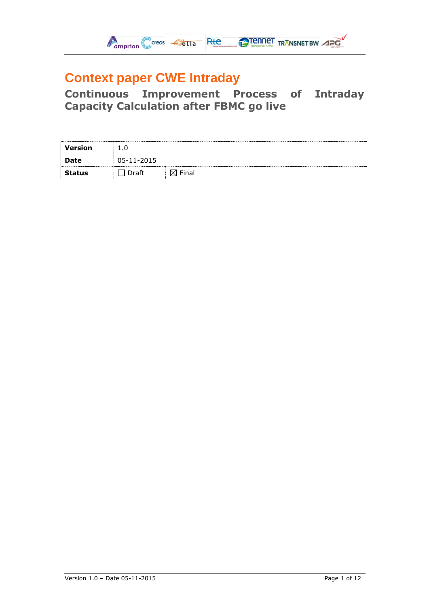

# **Context paper CWE Intraday**

**Continuous Improvement Process of Intraday Capacity Calculation after FBMC go live**

| Version       |            |       |
|---------------|------------|-------|
| Date          | 05-11-2015 |       |
| <b>Status</b> |            | Finar |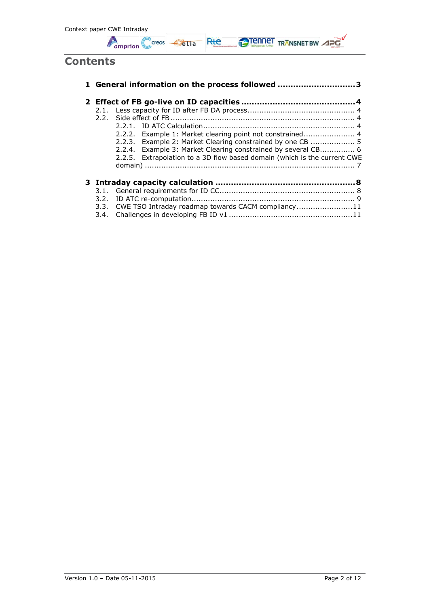

## **Contents**

|      |  | 1 General information on the process followed 3                          |  |  |  |  |  |
|------|--|--------------------------------------------------------------------------|--|--|--|--|--|
|      |  |                                                                          |  |  |  |  |  |
|      |  |                                                                          |  |  |  |  |  |
| 2.2. |  |                                                                          |  |  |  |  |  |
|      |  | 2.2.1.                                                                   |  |  |  |  |  |
|      |  | 2.2.2. Example 1: Market clearing point not constrained 4                |  |  |  |  |  |
|      |  | 2.2.3. Example 2: Market Clearing constrained by one CB  5               |  |  |  |  |  |
|      |  | 2.2.4. Example 3: Market Clearing constrained by several CB 6            |  |  |  |  |  |
|      |  | 2.2.5. Extrapolation to a 3D flow based domain (which is the current CWE |  |  |  |  |  |
|      |  |                                                                          |  |  |  |  |  |
|      |  |                                                                          |  |  |  |  |  |
|      |  |                                                                          |  |  |  |  |  |
|      |  |                                                                          |  |  |  |  |  |
|      |  |                                                                          |  |  |  |  |  |
|      |  | 3.3. CWE TSO Intraday roadmap towards CACM compliancy11                  |  |  |  |  |  |
|      |  |                                                                          |  |  |  |  |  |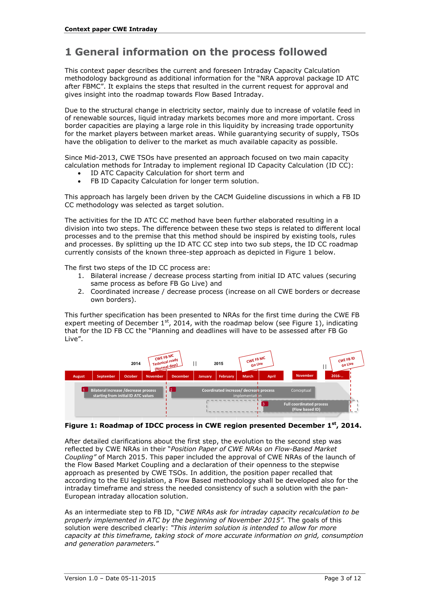## <span id="page-2-0"></span>**1 General information on the process followed**

This context paper describes the current and foreseen Intraday Capacity Calculation methodology background as additional information for the "NRA approval package ID ATC after FBMC". It explains the steps that resulted in the current request for approval and gives insight into the roadmap towards Flow Based Intraday.

Due to the structural change in electricity sector, mainly due to increase of volatile feed in of renewable sources, liquid intraday markets becomes more and more important. Cross border capacities are playing a large role in this liquidity by increasing trade opportunity for the market players between market areas. While guarantying security of supply, TSOs have the obligation to deliver to the market as much available capacity as possible.

Since Mid-2013, CWE TSOs have presented an approach focused on two main capacity calculation methods for Intraday to implement regional ID Capacity Calculation (ID CC):

- ID ATC Capacity Calculation for short term and
- FB ID Capacity Calculation for longer term solution.

This approach has largely been driven by the CACM Guideline discussions in which a FB ID CC methodology was selected as target solution.

The activities for the ID ATC CC method have been further elaborated resulting in a division into two steps. The difference between these two steps is related to different local processes and to the premise that this method should be inspired by existing tools, rules and processes. By splitting up the ID ATC CC step into two sub steps, the ID CC roadmap currently consists of the known three-step approach as depicted in [Figure 1](#page-2-1) below.

The first two steps of the ID CC process are:

- 1. Bilateral increase / decrease process starting from initial ID ATC values (securing same process as before FB Go Live) and
- 2. Coordinated increase / decrease process (increase on all CWE borders or decrease own borders).

This further specification has been presented to NRAs for the first time during the CWE FB expert meeting of December  $1^{st}$ , 2014, with the roadmap below (see [Figure 1\)](#page-2-1), indicating that for the ID FB CC the "Planning and deadlines will have to be assessed after FB Go Live".



#### <span id="page-2-1"></span>**Figure 1: Roadmap of IDCC process in CWE region presented December 1st, 2014.**

After detailed clarifications about the first step, the evolution to the second step was reflected by CWE NRAs in their "*Position Paper of CWE NRAs on Flow-Based Market Coupling"* of March 2015. This paper included the approval of CWE NRAs of the launch of the Flow Based Market Coupling and a declaration of their openness to the stepwise approach as presented by CWE TSOs. In addition, the position paper recalled that according to the EU legislation, a Flow Based methodology shall be developed also for the intraday timeframe and stress the needed consistency of such a solution with the pan-European intraday allocation solution.

As an intermediate step to FB ID, "*CWE NRAs ask for intraday capacity recalculation to be properly implemented in ATC by the beginning of November 2015".* The goals of this solution were described clearly: *"This interim solution is intended to allow for more capacity at this timeframe, taking stock of more accurate information on grid, consumption and generation parameters.*"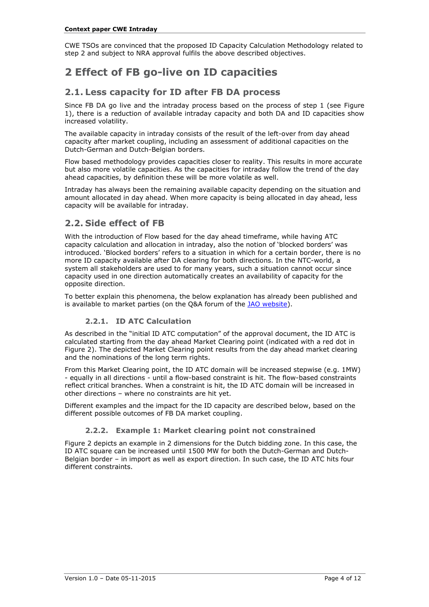CWE TSOs are convinced that the proposed ID Capacity Calculation Methodology related to step 2 and subject to NRA approval fulfils the above described objectives.

## <span id="page-3-0"></span>**2 Effect of FB go-live on ID capacities**

### <span id="page-3-1"></span>**2.1. Less capacity for ID after FB DA process**

Since FB DA go live and the intraday process based on the process of step 1 (see [Figure](#page-2-1)  [1\)](#page-2-1), there is a reduction of available intraday capacity and both DA and ID capacities show increased volatility.

The available capacity in intraday consists of the result of the left-over from day ahead capacity after market coupling, including an assessment of additional capacities on the Dutch-German and Dutch-Belgian borders.

Flow based methodology provides capacities closer to reality. This results in more accurate but also more volatile capacities. As the capacities for intraday follow the trend of the day ahead capacities, by definition these will be more volatile as well.

Intraday has always been the remaining available capacity depending on the situation and amount allocated in day ahead. When more capacity is being allocated in day ahead, less capacity will be available for intraday.

## <span id="page-3-2"></span>**2.2. Side effect of FB**

With the introduction of Flow based for the day ahead timeframe, while having ATC capacity calculation and allocation in intraday, also the notion of 'blocked borders' was introduced. 'Blocked borders' refers to a situation in which for a certain border, there is no more ID capacity available after DA clearing for both directions. In the NTC-world, a system all stakeholders are used to for many years, such a situation cannot occur since capacity used in one direction automatically creates an availability of capacity for the opposite direction.

To better explain this phenomena, the below explanation has already been published and is available to market parties (on the Q&A forum of the JAO [website\)](http://www.jao.eu/main).

#### **2.2.1. ID ATC Calculation**

<span id="page-3-3"></span>As described in the "initial ID ATC computation" of the approval document, the ID ATC is calculated starting from the day ahead Market Clearing point (indicated with a red dot in [Figure 2\)](#page-4-1). The depicted Market Clearing point results from the day ahead market clearing and the nominations of the long term rights.

From this Market Clearing point, the ID ATC domain will be increased stepwise (e.g. 1MW) - equally in all directions - until a flow-based constraint is hit. The flow-based constraints reflect critical branches. When a constraint is hit, the ID ATC domain will be increased in other directions – where no constraints are hit yet.

Different examples and the impact for the ID capacity are described below, based on the different possible outcomes of FB DA market coupling.

#### **2.2.2. Example 1: Market clearing point not constrained**

<span id="page-3-4"></span>[Figure 2](#page-4-1) depicts an example in 2 dimensions for the Dutch bidding zone. In this case, the ID ATC square can be increased until 1500 MW for both the Dutch-German and Dutch-Belgian border – in import as well as export direction. In such case, the ID ATC hits four different constraints.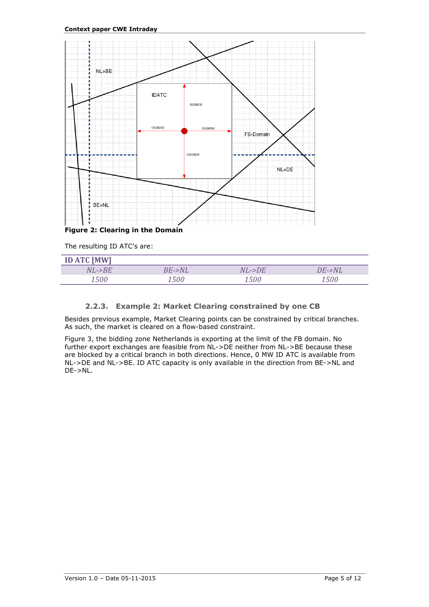

<span id="page-4-1"></span>The resulting ID ATC's are:

| <b>ID ATC [MW]</b> |           |        |        |
|--------------------|-----------|--------|--------|
| NL->BE             | $BE$ ->NL | NL->DE | DE->NL |
| <i>1500</i>        | 1500      | 500    | , ENC  |

#### **2.2.3. Example 2: Market Clearing constrained by one CB**

<span id="page-4-0"></span>Besides previous example, Market Clearing points can be constrained by critical branches. As such, the market is cleared on a flow-based constraint.

[Figure 3,](#page-5-1) the bidding zone Netherlands is exporting at the limit of the FB domain. No further export exchanges are feasible from NL->DE neither from NL->BE because these are blocked by a critical branch in both directions. Hence, 0 MW ID ATC is available from NL->DE and NL->BE. ID ATC capacity is only available in the direction from BE->NL and DE->NL.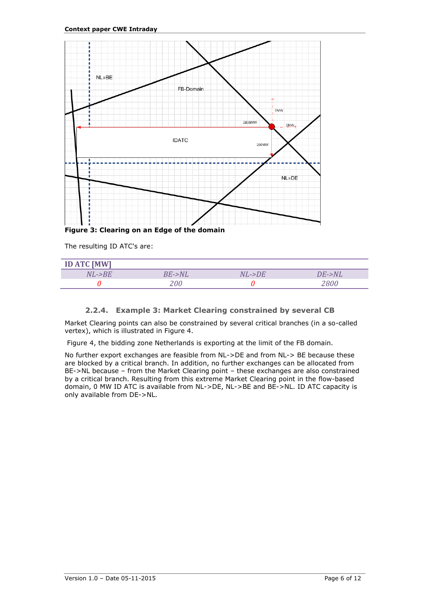

<span id="page-5-1"></span>**Figure 3: Clearing on an Edge of the domain**

The resulting ID ATC's are:

| <b>ID ATC [MW]</b> |           |              |           |
|--------------------|-----------|--------------|-----------|
| $NL$ -> $BE$       | $BE$ ->NL | $NL$ -> $DE$ | $DE$ ->NL |
|                    | 200       |              | 7800-     |

#### **2.2.4. Example 3: Market Clearing constrained by several CB**

<span id="page-5-0"></span>Market Clearing points can also be constrained by several critical branches (in a so-called vertex), which is illustrated in Figure 4.

[Figure 4,](#page-6-1) the bidding zone Netherlands is exporting at the limit of the FB domain.

No further export exchanges are feasible from NL->DE and from NL-> BE because these are blocked by a critical branch. In addition, no further exchanges can be allocated from BE->NL because – from the Market Clearing point – these exchanges are also constrained by a critical branch. Resulting from this extreme Market Clearing point in the flow-based domain, 0 MW ID ATC is available from NL->DE, NL->BE and BE->NL. ID ATC capacity is only available from DE->NL.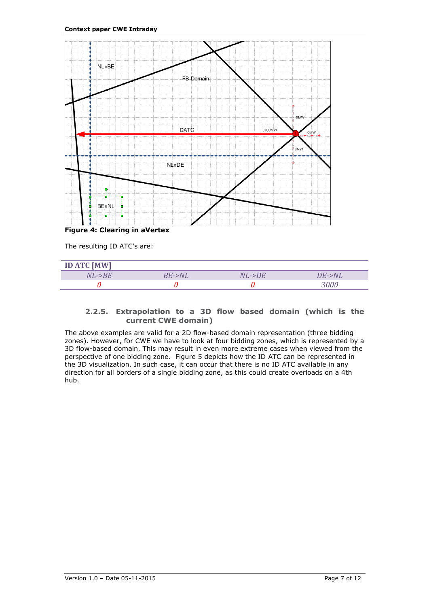

<span id="page-6-1"></span>**Figure 4: Clearing in aVertex**

The resulting ID ATC's are:

| <b>ID ATC [MW]</b> |           |           |           |
|--------------------|-----------|-----------|-----------|
| $NL$ -> $BE$       | $BE$ ->NL | $NL$ ->DE | $DE$ ->NL |
|                    |           |           | 3000      |

#### <span id="page-6-0"></span>**2.2.5. Extrapolation to a 3D flow based domain (which is the current CWE domain)**

The above examples are valid for a 2D flow-based domain representation (three bidding zones). However, for CWE we have to look at four bidding zones, which is represented by a 3D flow-based domain. This may result in even more extreme cases when viewed from the perspective of one bidding zone. [Figure 5](#page-7-2) depicts how the ID ATC can be represented in the 3D visualization. In such case, it can occur that there is no ID ATC available in any direction for all borders of a single bidding zone, as this could create overloads on a 4th hub.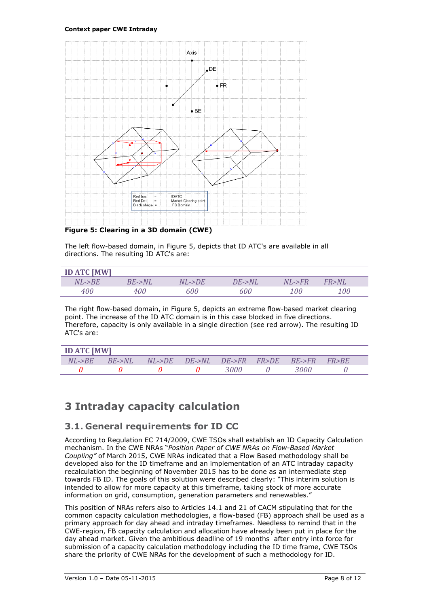

<span id="page-7-2"></span>**Figure 5: Clearing in a 3D domain (CWE)**

The left flow-based domain, in [Figure 5,](#page-7-2) depicts that ID ATC's are available in all directions. The resulting ID ATC's are:

| <b>ID ATC [MW]</b> |           |              |        |                      |          |
|--------------------|-----------|--------------|--------|----------------------|----------|
| $NL$ -> $BE$       | $BE$ ->NL | $NL$ -> $DE$ | DE->NL | $NI. \rightarrow FR$ | FR > N L |
| 400                | 400       | 600          | 600    | 100                  | 100      |

The right flow-based domain, in [Figure 5,](#page-7-2) depicts an extreme flow-based market clearing point. The increase of the ID ATC domain is in this case blocked in five directions. Therefore, capacity is only available in a single direction (see red arrow). The resulting ID ATC's are:

| <b>ID ATC [MW]</b> |                                       |  |                                   |      |  |      |                 |  |
|--------------------|---------------------------------------|--|-----------------------------------|------|--|------|-----------------|--|
|                    | $NL\rightarrow BE$ $BE\rightarrow NL$ |  | NL->DE DE->NL DE->FR FR>DE BE->FR |      |  |      | <i>FR&gt;RE</i> |  |
|                    |                                       |  |                                   | 3000 |  | 3000 |                 |  |

## <span id="page-7-0"></span>**3 Intraday capacity calculation**

### <span id="page-7-1"></span>**3.1. General requirements for ID CC**

According to Regulation EC 714/2009, CWE TSOs shall establish an ID Capacity Calculation mechanism. In the CWE NRAs "*Position Paper of CWE NRAs on Flow-Based Market Coupling"* of March 2015, CWE NRAs indicated that a Flow Based methodology shall be developed also for the ID timeframe and an implementation of an ATC intraday capacity recalculation the beginning of November 2015 has to be done as an intermediate step towards FB ID. The goals of this solution were described clearly: "This interim solution is intended to allow for more capacity at this timeframe, taking stock of more accurate information on grid, consumption, generation parameters and renewables."

This position of NRAs refers also to Articles 14.1 and 21 of CACM stipulating that for the common capacity calculation methodologies, a flow-based (FB) approach shall be used as a primary approach for day ahead and intraday timeframes. Needless to remind that in the CWE-region, FB capacity calculation and allocation have already been put in place for the day ahead market. Given the ambitious deadline of 19 months after entry into force for submission of a capacity calculation methodology including the ID time frame, CWE TSOs share the priority of CWE NRAs for the development of such a methodology for ID.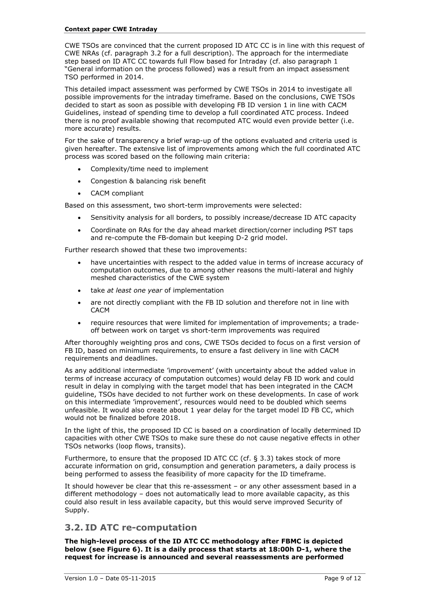CWE TSOs are convinced that the current proposed ID ATC CC is in line with this request of CWE NRAs (cf. paragraph [3.2](#page-8-0) for a full description). The approach for the intermediate step based on ID ATC CC towards full Flow based for Intraday (cf. also paragraph [1](#page-2-0) "[General information on the process followed\)](#page-2-0) was a result from an impact assessment TSO performed in 2014.

This detailed impact assessment was performed by CWE TSOs in 2014 to investigate all possible improvements for the intraday timeframe. Based on the conclusions, CWE TSOs decided to start as soon as possible with developing FB ID version 1 in line with CACM Guidelines, instead of spending time to develop a full coordinated ATC process. Indeed there is no proof available showing that recomputed ATC would even provide better (i.e. more accurate) results.

For the sake of transparency a brief wrap-up of the options evaluated and criteria used is given hereafter. The extensive list of improvements among which the full coordinated ATC process was scored based on the following main criteria:

- Complexity/time need to implement
- Congestion & balancing risk benefit
- CACM compliant

Based on this assessment, two short-term improvements were selected:

- Sensitivity analysis for all borders, to possibly increase/decrease ID ATC capacity
- Coordinate on RAs for the day ahead market direction/corner including PST taps and re-compute the FB-domain but keeping D-2 grid model.

Further research showed that these two improvements:

- have uncertainties with respect to the added value in terms of increase accuracy of computation outcomes, due to among other reasons the multi-lateral and highly meshed characteristics of the CWE system
- take *at least one year* of implementation
- are not directly compliant with the FB ID solution and therefore not in line with CACM
- require resources that were limited for implementation of improvements; a tradeoff between work on target vs short-term improvements was required

After thoroughly weighting pros and cons, CWE TSOs decided to focus on a first version of FB ID, based on minimum requirements, to ensure a fast delivery in line with CACM requirements and deadlines.

As any additional intermediate 'improvement' (with uncertainty about the added value in terms of increase accuracy of computation outcomes) would delay FB ID work and could result in delay in complying with the target model that has been integrated in the CACM guideline, TSOs have decided to not further work on these developments. In case of work on this intermediate 'improvement', resources would need to be doubled which seems unfeasible. It would also create about 1 year delay for the target model ID FB CC, which would not be finalized before 2018.

In the light of this, the proposed ID CC is based on a coordination of locally determined ID capacities with other CWE TSOs to make sure these do not cause negative effects in other TSOs networks (loop flows, transits).

Furthermore, to ensure that the proposed ID ATC CC (cf. § [3.3\)](#page-10-0) takes stock of more accurate information on grid, consumption and generation parameters, a daily process is being performed to assess the feasibility of more capacity for the ID timeframe.

It should however be clear that this re-assessment – or any other assessment based in a different methodology – does not automatically lead to more available capacity, as this could also result in less available capacity, but this would serve improved Security of Supply.

### <span id="page-8-0"></span>**3.2. ID ATC re-computation**

**The high-level process of the ID ATC CC methodology after FBMC is depicted below (see [Figure 6\)](#page-9-0). It is a daily process that starts at 18:00h D-1, where the request for increase is announced and several reassessments are performed**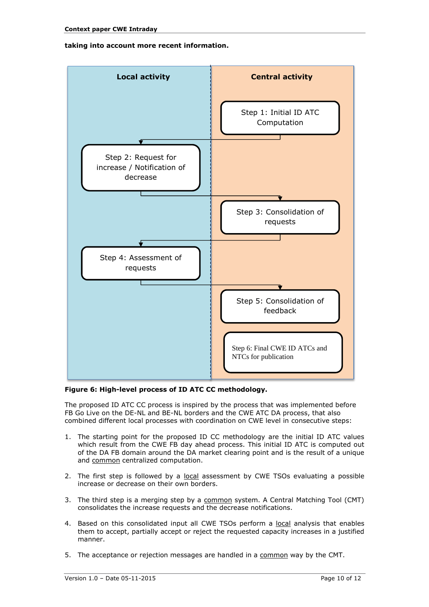#### **taking into account more recent information.**



#### <span id="page-9-0"></span>**Figure 6: High-level process of ID ATC CC methodology.**

The proposed ID ATC CC process is inspired by the process that was implemented before FB Go Live on the DE-NL and BE-NL borders and the CWE ATC DA process, that also combined different local processes with coordination on CWE level in consecutive steps:

- 1. The starting point for the proposed ID CC methodology are the initial ID ATC values which result from the CWE FB day ahead process. This initial ID ATC is computed out of the DA FB domain around the DA market clearing point and is the result of a unique and common centralized computation.
- 2. The first step is followed by a local assessment by CWE TSOs evaluating a possible increase or decrease on their own borders.
- 3. The third step is a merging step by a common system. A Central Matching Tool (CMT) consolidates the increase requests and the decrease notifications.
- 4. Based on this consolidated input all CWE TSOs perform a local analysis that enables them to accept, partially accept or reject the requested capacity increases in a justified manner.
- 5. The acceptance or rejection messages are handled in a common way by the CMT.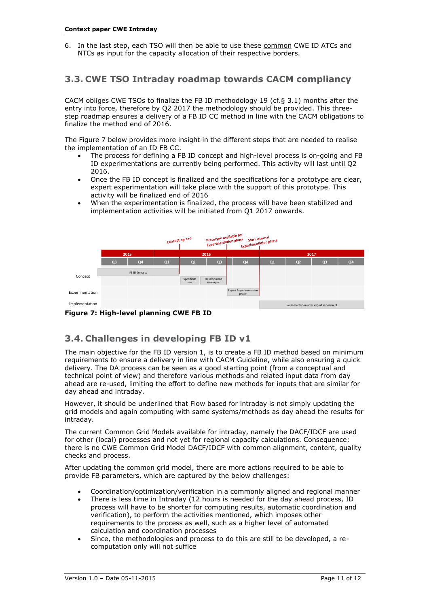6. In the last step, each TSO will then be able to use these common CWE ID ATCs and NTCs as input for the capacity allocation of their respective borders.

### <span id="page-10-0"></span>**3.3. CWE TSO Intraday roadmap towards CACM compliancy**

CACM obliges CWE TSOs to finalize the FB ID methodology 19 (cf.§ [3.1\)](#page-7-1) months after the entry into force, therefore by Q2 2017 the methodology should be provided. This threestep roadmap ensures a delivery of a FB ID CC method in line with the CACM obligations to finalize the method end of 2016.

The [Figure 7](#page-10-2) below provides more insight in the different steps that are needed to realise the implementation of an ID FB CC.

- The process for defining a FB ID concept and high-level process is on-going and FB ID experimentations are currently being performed. This activity will last until Q2 2016.
- Once the FB ID concept is finalized and the specifications for a prototype are clear, expert experimentation will take place with the support of this prototype. This activity will be finalized end of 2016
- When the experimentation is finalized, the process will have been stabilized and implementation activities will be initiated from Q1 2017 onwards.



<span id="page-10-2"></span>

## <span id="page-10-1"></span>**3.4. Challenges in developing FB ID v1**

The main objective for the FB ID version 1, is to create a FB ID method based on minimum requirements to ensure a delivery in line with CACM Guideline, while also ensuring a quick delivery. The DA process can be seen as a good starting point (from a conceptual and technical point of view) and therefore various methods and related input data from day ahead are re-used, limiting the effort to define new methods for inputs that are similar for day ahead and intraday.

However, it should be underlined that Flow based for intraday is not simply updating the grid models and again computing with same systems/methods as day ahead the results for intraday.

The current Common Grid Models available for intraday, namely the DACF/IDCF are used for other (local) processes and not yet for regional capacity calculations. Consequence: there is no CWE Common Grid Model DACF/IDCF with common alignment, content, quality checks and process.

After updating the common grid model, there are more actions required to be able to provide FB parameters, which are captured by the below challenges:

- Coordination/optimization/verification in a commonly aligned and regional manner
- There is less time in Intraday (12 hours is needed for the day ahead process, ID process will have to be shorter for computing results, automatic coordination and verification), to perform the activities mentioned, which imposes other requirements to the process as well, such as a higher level of automated calculation and coordination processes
- Since, the methodologies and process to do this are still to be developed, a recomputation only will not suffice